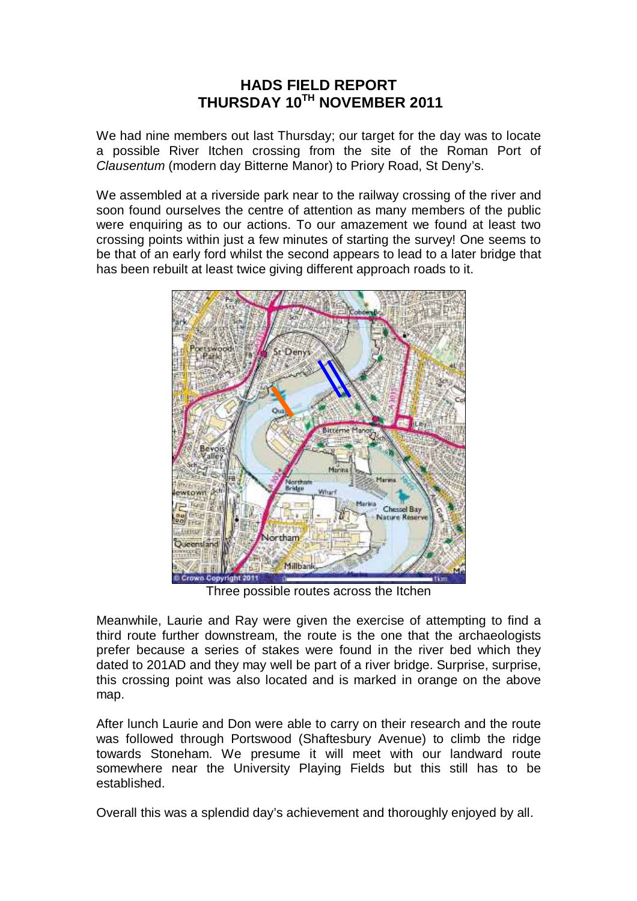## **HADS FIELD REPORT THURSDAY 10TH NOVEMBER 2011**

We had nine members out last Thursday; our target for the day was to locate a possible River Itchen crossing from the site of the Roman Port of Clausentum (modern day Bitterne Manor) to Priory Road, St Deny's.

We assembled at a riverside park near to the railway crossing of the river and soon found ourselves the centre of attention as many members of the public were enquiring as to our actions. To our amazement we found at least two crossing points within just a few minutes of starting the survey! One seems to be that of an early ford whilst the second appears to lead to a later bridge that has been rebuilt at least twice giving different approach roads to it.



Three possible routes across the Itchen

Meanwhile, Laurie and Ray were given the exercise of attempting to find a third route further downstream, the route is the one that the archaeologists prefer because a series of stakes were found in the river bed which they dated to 201AD and they may well be part of a river bridge. Surprise, surprise, this crossing point was also located and is marked in orange on the above map.

After lunch Laurie and Don were able to carry on their research and the route was followed through Portswood (Shaftesbury Avenue) to climb the ridge towards Stoneham. We presume it will meet with our landward route somewhere near the University Playing Fields but this still has to be established.

Overall this was a splendid day's achievement and thoroughly enjoyed by all.